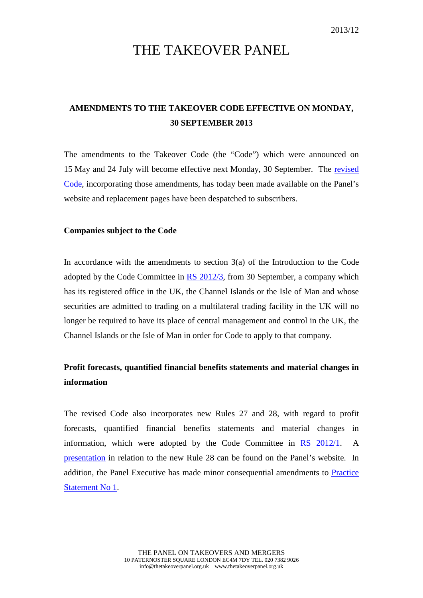# THE TAKEOVER PANEL

## **AMENDMENTS TO THE TAKEOVER CODE EFFECTIVE ON MONDAY, 30 SEPTEMBER 2013**

The amendments to the Takeover Code (the "Code") which were announced on 15 May and 24 July will become effective next Monday, 30 September. The [revised](http://www.thetakeoverpanel.org.uk/wp-content/uploads/2008/11/code.pdf)  [Code,](http://www.thetakeoverpanel.org.uk/wp-content/uploads/2008/11/code.pdf) incorporating those amendments, has today been made available on the Panel's website and replacement pages have been despatched to subscribers.

#### **Companies subject to the Code**

In accordance with the amendments to section 3(a) of the Introduction to the Code adopted by the Code Committee in [RS 2012/3,](http://www.thetakeoverpanel.org.uk/wp-content/uploads/2008/11/RS201203.pdf) from 30 September, a company which has its registered office in the UK, the Channel Islands or the Isle of Man and whose securities are admitted to trading on a multilateral trading facility in the UK will no longer be required to have its place of central management and control in the UK, the Channel Islands or the Isle of Man in order for Code to apply to that company.

### **Profit forecasts, quantified financial benefits statements and material changes in information**

The revised Code also incorporates new Rules 27 and 28, with regard to profit forecasts, quantified financial benefits statements and material changes in information, which were adopted by the Code Committee in [RS 2012/1.](http://www.thetakeoverpanel.org.uk/wp-content/uploads/2008/11/RS201201.pdf) A [presentation](http://www.thetakeoverpanel.org.uk/wp-content/uploads/2008/11/Profit-Forecasts-and-Quantified-Financial-Benefits-Statements.pdf) in relation to the new Rule 28 can be found on the Panel's website. In addition, the Panel Executive has made minor consequential amendments to [Practice](http://www.thetakeoverpanel.org.uk/wp-content/uploads/2008/11/ps01.pdf)  [Statement No 1.](http://www.thetakeoverpanel.org.uk/wp-content/uploads/2008/11/ps01.pdf)